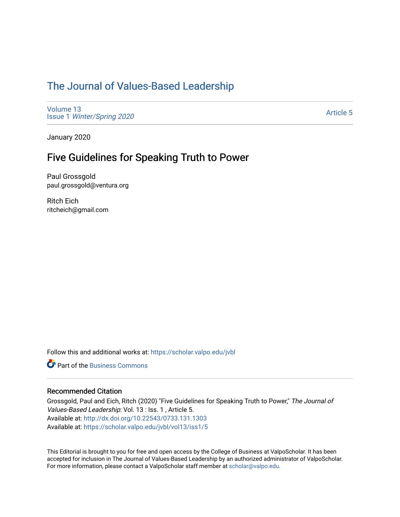## [The Journal of Values-Based Leadership](https://scholar.valpo.edu/jvbl)

[Volume 13](https://scholar.valpo.edu/jvbl/vol13) Issue 1 [Winter/Spring 2020](https://scholar.valpo.edu/jvbl/vol13/iss1) 

[Article 5](https://scholar.valpo.edu/jvbl/vol13/iss1/5) 

January 2020

### Five Guidelines for Speaking Truth to Power

Paul Grossgold paul.grossgold@ventura.org

Ritch Eich ritcheich@gmail.com

Follow this and additional works at: [https://scholar.valpo.edu/jvbl](https://scholar.valpo.edu/jvbl?utm_source=scholar.valpo.edu%2Fjvbl%2Fvol13%2Fiss1%2F5&utm_medium=PDF&utm_campaign=PDFCoverPages) 

**C** Part of the [Business Commons](http://network.bepress.com/hgg/discipline/622?utm_source=scholar.valpo.edu%2Fjvbl%2Fvol13%2Fiss1%2F5&utm_medium=PDF&utm_campaign=PDFCoverPages)

#### Recommended Citation

Grossgold, Paul and Eich, Ritch (2020) "Five Guidelines for Speaking Truth to Power," The Journal of Values-Based Leadership: Vol. 13 : Iss. 1 , Article 5. Available at:<http://dx.doi.org/10.22543/0733.131.1303> Available at: [https://scholar.valpo.edu/jvbl/vol13/iss1/5](https://scholar.valpo.edu/jvbl/vol13/iss1/5?utm_source=scholar.valpo.edu%2Fjvbl%2Fvol13%2Fiss1%2F5&utm_medium=PDF&utm_campaign=PDFCoverPages)

This Editorial is brought to you for free and open access by the College of Business at ValpoScholar. It has been accepted for inclusion in The Journal of Values-Based Leadership by an authorized administrator of ValpoScholar. For more information, please contact a ValpoScholar staff member at [scholar@valpo.edu](mailto:scholar@valpo.edu).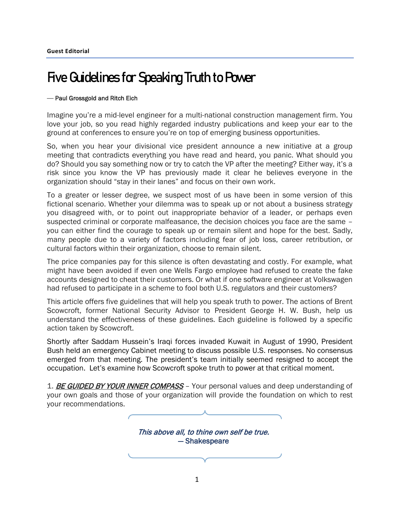# Five Guidelines for Speaking Truth to Power

#### **—** Paul Grossgold and Ritch Eich

Imagine you're a mid-level engineer for a multi-national construction management firm. You love your job, so you read highly regarded industry publications and keep your ear to the ground at conferences to ensure you're on top of emerging business opportunities.

So, when you hear your divisional vice president announce a new initiative at a group meeting that contradicts everything you have read and heard, you panic. What should you do? Should you say something now or try to catch the VP after the meeting? Either way, it's a risk since you know the VP has previously made it clear he believes everyone in the organization should "stay in their lanes" and focus on their own work.

To a greater or lesser degree, we suspect most of us have been in some version of this fictional scenario. Whether your dilemma was to speak up or not about a business strategy you disagreed with, or to point out inappropriate behavior of a leader, or perhaps even suspected criminal or corporate malfeasance, the decision choices you face are the same – you can either find the courage to speak up or remain silent and hope for the best. Sadly, many people due to a variety of factors including fear of job loss, career retribution, or cultural factors within their organization, choose to remain silent.

The price companies pay for this silence is often devastating and costly. For example, what might have been avoided if even one Wells Fargo employee had refused to create the fake accounts designed to cheat their customers. Or what if one software engineer at Volkswagen had refused to participate in a scheme to fool both U.S. regulators and their customers?

This article offers five guidelines that will help you speak truth to power. The actions of Brent Scowcroft, former National Security Advisor to President George H. W. Bush, help us understand the effectiveness of these guidelines. Each guideline is followed by a specific action taken by Scowcroft.

Shortly after Saddam Hussein's Iraqi forces invaded Kuwait in August of 1990, President Bush held an emergency Cabinet meeting to discuss possible U.S. responses. No consensus emerged from that meeting. The president's team initially seemed resigned to accept the occupation. Let's examine how Scowcroft spoke truth to power at that critical moment.

1. BE GUIDED BY YOUR INNER COMPASS - Your personal values and deep understanding of your own goals and those of your organization will provide the foundation on which to rest your recommendations.

> This above all, to thine own self be true. — Shakespeare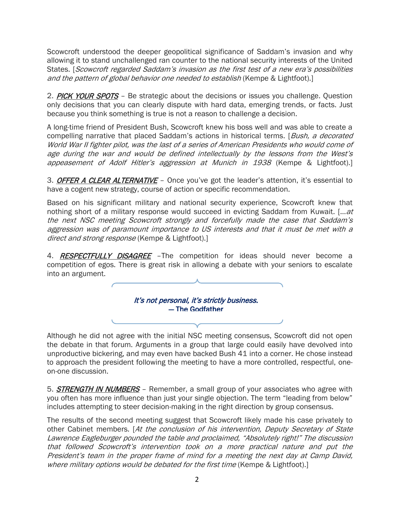Scowcroft understood the deeper geopolitical significance of Saddam's invasion and why allowing it to stand unchallenged ran counter to the national security interests of the United States. [Scowcroft regarded Saddam's invasion as the first test of a new era's possibilities and the pattern of global behavior one needed to establish (Kempe & Lightfoot).]

2. PICK YOUR SPOTS - Be strategic about the decisions or issues you challenge. Question only decisions that you can clearly dispute with hard data, emerging trends, or facts. Just because you think something is true is not a reason to challenge a decision.

A long-time friend of President Bush, Scowcroft knew his boss well and was able to create a compelling narrative that placed Saddam's actions in historical terms. [Bush, a decorated World War II fighter pilot, was the last of a series of American Presidents who would come of age during the war and would be defined intellectually by the lessons from the West's appeasement of Adolf Hitler's aggression at Munich in 1938 (Kempe & Lightfoot).]

3. OFFER A CLEAR ALTERNATIVE - Once you've got the leader's attention, it's essential to have a cogent new strategy, course of action or specific recommendation.

Based on his significant military and national security experience, Scowcroft knew that nothing short of a military response would succeed in evicting Saddam from Kuwait. [...*at* the next NSC meeting Scowcroft strongly and forcefully made the case that Saddam's aggression was of paramount importance to US interests and that it must be met with a direct and strong response (Kempe & Lightfoot).]

4. RESPECTFULLY DISAGREE - The competition for ideas should never become a competition of egos. There is great risk in allowing a debate with your seniors to escalate into an argument.



Although he did not agree with the initial NSC meeting consensus, Scowcroft did not open the debate in that forum. Arguments in a group that large could easily have devolved into unproductive bickering, and may even have backed Bush 41 into a corner. He chose instead to approach the president following the meeting to have a more controlled, respectful, oneon-one-discussion.

5. **STRENGTH IN NUMBERS** - Remember, a small group of your associates who agree with you often has more influence than just your single objection. The term "leading from below" includes attempting to steer decision-making in the right direction by group consensus.

The results of the second meeting suggest that Scowcroft likely made his case privately to other Cabinet members. [At the conclusion of his intervention, Deputy Secretary of State Lawrence Eagleburger pounded the table and proclaimed, "Absolutely right!" The discussion that followed Scowcroft's intervention took on a more practical nature and put the President's team in the proper frame of mind for a meeting the next day at Camp David, where military options would be debated for the first time (Kempe & Lightfoot).]